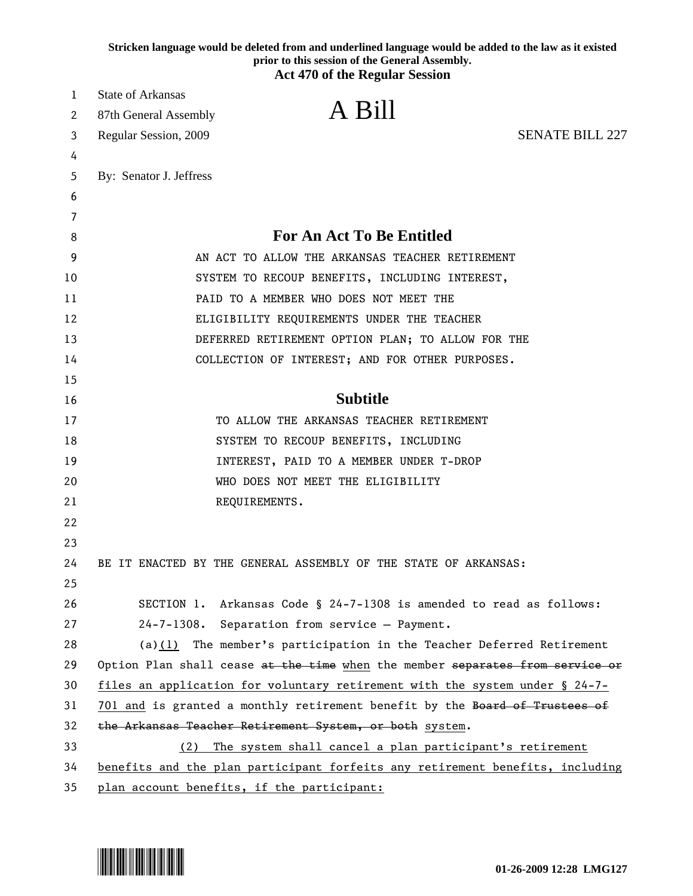|    | Stricken language would be deleted from and underlined language would be added to the law as it existed<br>prior to this session of the General Assembly.<br><b>Act 470 of the Regular Session</b> |
|----|----------------------------------------------------------------------------------------------------------------------------------------------------------------------------------------------------|
| 1  | <b>State of Arkansas</b>                                                                                                                                                                           |
| 2  | A Bill<br>87th General Assembly                                                                                                                                                                    |
| 3  | <b>SENATE BILL 227</b><br>Regular Session, 2009                                                                                                                                                    |
| 4  |                                                                                                                                                                                                    |
| 5  | By: Senator J. Jeffress                                                                                                                                                                            |
| 6  |                                                                                                                                                                                                    |
| 7  |                                                                                                                                                                                                    |
| 8  | <b>For An Act To Be Entitled</b>                                                                                                                                                                   |
| 9  | AN ACT TO ALLOW THE ARKANSAS TEACHER RETIREMENT                                                                                                                                                    |
| 10 | SYSTEM TO RECOUP BENEFITS, INCLUDING INTEREST,                                                                                                                                                     |
| 11 | PAID TO A MEMBER WHO DOES NOT MEET THE                                                                                                                                                             |
| 12 | ELIGIBILITY REQUIREMENTS UNDER THE TEACHER                                                                                                                                                         |
| 13 | DEFERRED RETIREMENT OPTION PLAN; TO ALLOW FOR THE                                                                                                                                                  |
| 14 | COLLECTION OF INTEREST; AND FOR OTHER PURPOSES.                                                                                                                                                    |
| 15 |                                                                                                                                                                                                    |
| 16 | <b>Subtitle</b>                                                                                                                                                                                    |
| 17 | TO ALLOW THE ARKANSAS TEACHER RETIREMENT                                                                                                                                                           |
| 18 | SYSTEM TO RECOUP BENEFITS, INCLUDING                                                                                                                                                               |
| 19 | INTEREST, PAID TO A MEMBER UNDER T-DROP                                                                                                                                                            |
| 20 | WHO DOES NOT MEET THE ELIGIBILITY                                                                                                                                                                  |
| 21 | REQUIREMENTS.                                                                                                                                                                                      |
| 22 |                                                                                                                                                                                                    |
| 23 |                                                                                                                                                                                                    |
| 24 | BE IT ENACTED BY THE GENERAL ASSEMBLY OF THE STATE OF ARKANSAS:                                                                                                                                    |
| 25 |                                                                                                                                                                                                    |
| 26 | SECTION 1. Arkansas Code § 24-7-1308 is amended to read as follows:                                                                                                                                |
| 27 | 24-7-1308. Separation from service - Payment.                                                                                                                                                      |
| 28 | $(a)(1)$ The member's participation in the Teacher Deferred Retirement                                                                                                                             |
| 29 | Option Plan shall cease at the time when the member separates from service or                                                                                                                      |
| 30 | files an application for voluntary retirement with the system under § 24-7-                                                                                                                        |
| 31 | 701 and is granted a monthly retirement benefit by the Board of Trustees of                                                                                                                        |
| 32 | the Arkansas Teacher Retirement System, or both system.                                                                                                                                            |
| 33 | The system shall cancel a plan participant's retirement<br>(2)                                                                                                                                     |
| 34 | benefits and the plan participant forfeits any retirement benefits, including                                                                                                                      |
| 35 | plan account benefits, if the participant:                                                                                                                                                         |

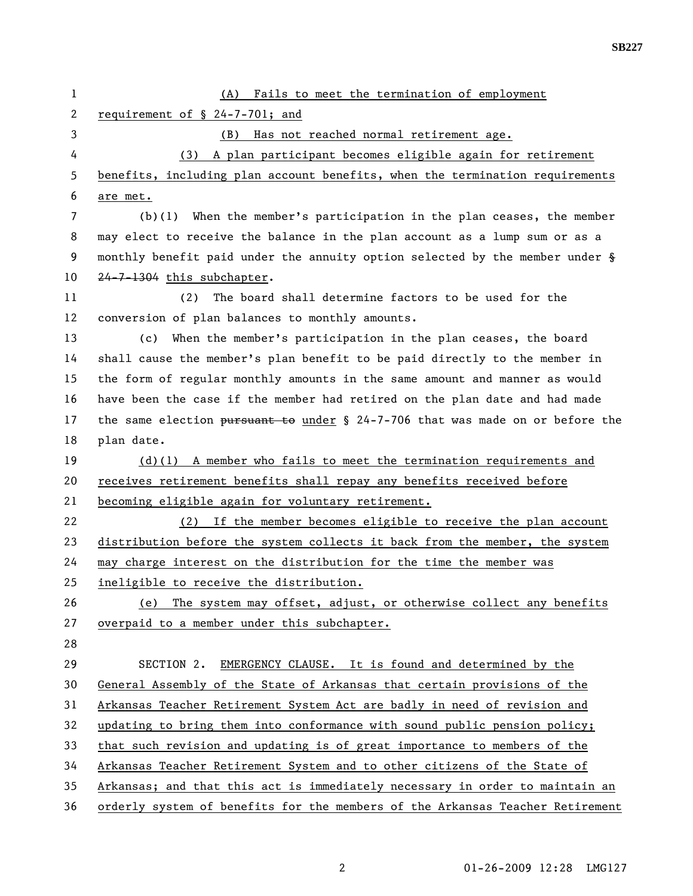| 1              | (A) Fails to meet the termination of employment                                  |
|----------------|----------------------------------------------------------------------------------|
| $\overline{2}$ | requirement of § 24-7-701; and                                                   |
| 3              | (B) Has not reached normal retirement age.                                       |
| 4              | (3) A plan participant becomes eligible again for retirement                     |
| 5              | benefits, including plan account benefits, when the termination requirements     |
| 6              | are met.                                                                         |
| 7              | $(b)(1)$ When the member's participation in the plan ceases, the member          |
| 8              | may elect to receive the balance in the plan account as a lump sum or as a       |
| 9              | monthly benefit paid under the annuity option selected by the member under §     |
| 10             | 24-7-1304 this subchapter.                                                       |
| 11             | The board shall determine factors to be used for the<br>(2)                      |
| 12             | conversion of plan balances to monthly amounts.                                  |
| 13             | (c) When the member's participation in the plan ceases, the board                |
| 14             | shall cause the member's plan benefit to be paid directly to the member in       |
| 15             | the form of regular monthly amounts in the same amount and manner as would       |
| 16             | have been the case if the member had retired on the plan date and had made       |
| 17             | the same election pursuant to under $\S$ 24-7-706 that was made on or before the |
| 18             | plan date.                                                                       |
| 19             | $(d)(1)$ A member who fails to meet the termination requirements and             |
| 20             | receives retirement benefits shall repay any benefits received before            |
| 21             | becoming eligible again for voluntary retirement.                                |
| 22             | If the member becomes eligible to receive the plan account<br>(2)                |
| 23             | distribution before the system collects it back from the member, the system      |
| 24             | may charge interest on the distribution for the time the member was              |
| 25             | ineligible to receive the distribution.                                          |
| 26             | The system may offset, adjust, or otherwise collect any benefits<br>(e)          |
| 27             | overpaid to a member under this subchapter.                                      |
| 28             |                                                                                  |
| 29             | SECTION 2.<br>EMERGENCY CLAUSE. It is found and determined by the                |
| 30             | General Assembly of the State of Arkansas that certain provisions of the         |
| 31             | Arkansas Teacher Retirement System Act are badly in need of revision and         |
| 32             | updating to bring them into conformance with sound public pension policy;        |
| 33             | that such revision and updating is of great importance to members of the         |
| 34             | Arkansas Teacher Retirement System and to other citizens of the State of         |
| 35             | Arkansas; and that this act is immediately necessary in order to maintain an     |
| 36             | orderly system of benefits for the members of the Arkansas Teacher Retirement    |